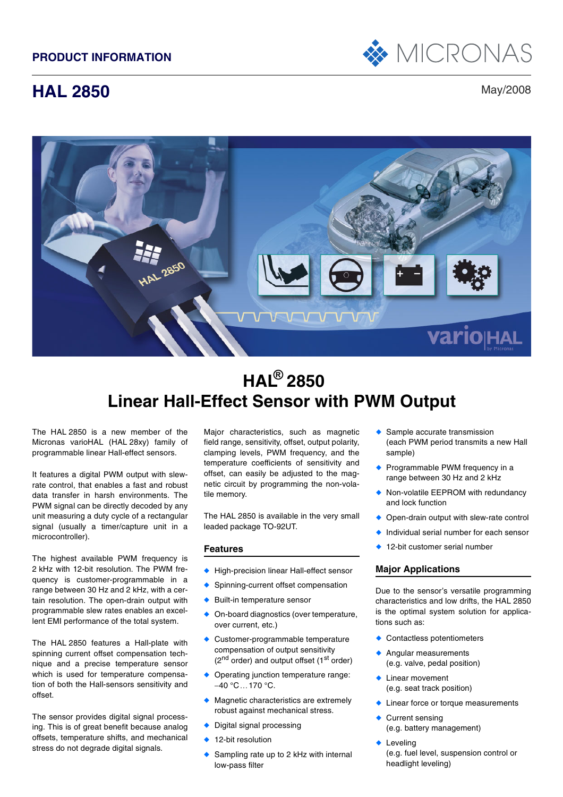

# **HAL 2850** May/2008



# **HAL ® 2850 Linear Hall-Effect Sensor with PWM Output**

The HAL 2850 is a new member of the Micronas varioHAL (HAL 28xy) family of programmable linear Hall-effect sensors.

It features a digital PWM output with slewrate control, that enables a fast and robust data transfer in harsh environments. The PWM signal can be directly decoded by any unit measuring a duty cycle of a rectangular signal (usually a timer/capture unit in a microcontroller).

The highest available PWM frequency is 2 kHz with 12-bit resolution. The PWM frequency is customer-programmable in a range between 30 Hz and 2 kHz, with a certain resolution. The open-drain output with programmable slew rates enables an excellent EMI performance of the total system.

The HAL 2850 features a Hall-plate with spinning current offset compensation technique and a precise temperature sensor which is used for temperature compensation of both the Hall-sensors sensitivity and offset.

The sensor provides digital signal processing. This is of great benefit because analog offsets, temperature shifts, and mechanical stress do not degrade digital signals.

Major characteristics, such as magnetic field range, sensitivity, offset, output polarity, clamping levels, PWM frequency, and the temperature coefficients of sensitivity and offset, can easily be adjusted to the magnetic circuit by programming the non-volatile memory.

The HAL 2850 is available in the very small leaded package TO-92UT.

## **Features**

- ◆ High-precision linear Hall-effect sensor
- Spinning-current offset compensation
- Built-in temperature sensor
- On-board diagnostics (over temperature, over current, etc.)
- ◆ Customer-programmable temperature compensation of output sensitivity  $(2<sup>nd</sup> order)$  and output offset  $(1<sup>st</sup> order)$
- ◆ Operating junction temperature range: −40 °C…170 °C.
- Magnetic characteristics are extremely robust against mechanical stress.
- ◆ Digital signal processing
- 12-bit resolution
- Sampling rate up to 2 kHz with internal low-pass filter
- ◆ Sample accurate transmission (each PWM period transmits a new Hall sample)
- ◆ Programmable PWM frequency in a range between 30 Hz and 2 kHz
- ◆ Non-volatile EEPROM with redundancy and lock function
- Open-drain output with slew-rate control
- Individual serial number for each sensor
- ◆ 12-bit customer serial number

## **Major Applications**

Due to the sensor's versatile programming characteristics and low drifts, the HAL 2850 is the optimal system solution for applications such as:

- ◆ Contactless potentiometers
- ◆ Angular measurements (e.g. valve, pedal position)
- ◆ Linear movement (e.g. seat track position)
- **Linear force or torque measurements**
- Current sensing (e.g. battery management)
- ◆ Leveling (e.g. fuel level, suspension control or headlight leveling)